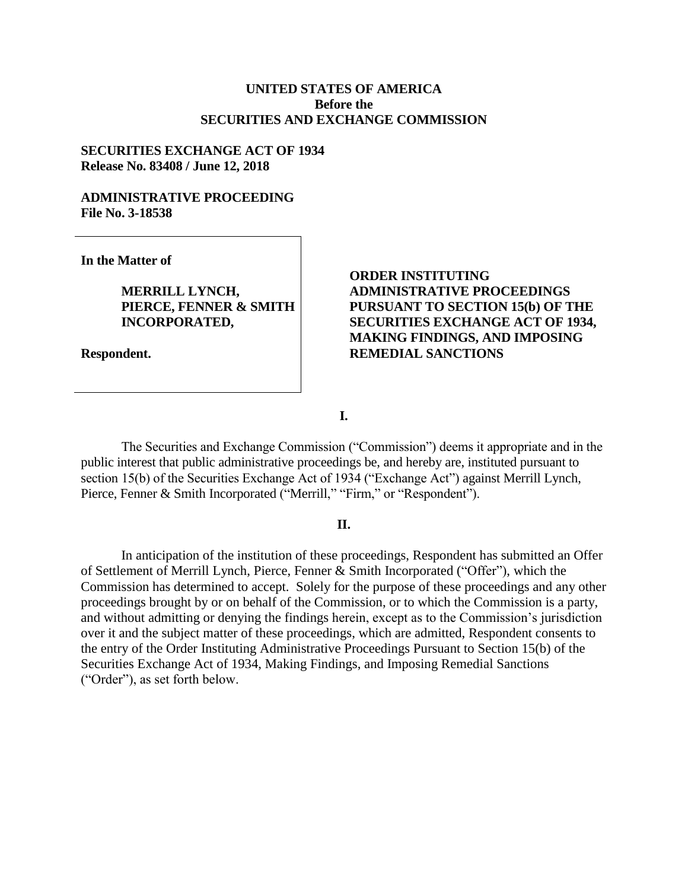#### **UNITED STATES OF AMERICA Before the SECURITIES AND EXCHANGE COMMISSION**

#### **SECURITIES EXCHANGE ACT OF 1934 Release No. 83408 / June 12, 2018**

#### **ADMINISTRATIVE PROCEEDING File No. 3-18538**

**In the Matter of**

**MERRILL LYNCH, PIERCE, FENNER & SMITH INCORPORATED,**

**Respondent.**

## **ORDER INSTITUTING ADMINISTRATIVE PROCEEDINGS PURSUANT TO SECTION 15(b) OF THE SECURITIES EXCHANGE ACT OF 1934, MAKING FINDINGS, AND IMPOSING REMEDIAL SANCTIONS**

**I.**

The Securities and Exchange Commission ("Commission") deems it appropriate and in the public interest that public administrative proceedings be, and hereby are, instituted pursuant to section 15(b) of the Securities Exchange Act of 1934 ("Exchange Act") against Merrill Lynch, Pierce, Fenner & Smith Incorporated ("Merrill," "Firm," or "Respondent").

#### **II.**

In anticipation of the institution of these proceedings, Respondent has submitted an Offer of Settlement of Merrill Lynch, Pierce, Fenner & Smith Incorporated ("Offer"), which the Commission has determined to accept. Solely for the purpose of these proceedings and any other proceedings brought by or on behalf of the Commission, or to which the Commission is a party, and without admitting or denying the findings herein, except as to the Commission's jurisdiction over it and the subject matter of these proceedings, which are admitted, Respondent consents to the entry of the Order Instituting Administrative Proceedings Pursuant to Section 15(b) of the Securities Exchange Act of 1934, Making Findings, and Imposing Remedial Sanctions ("Order"), as set forth below.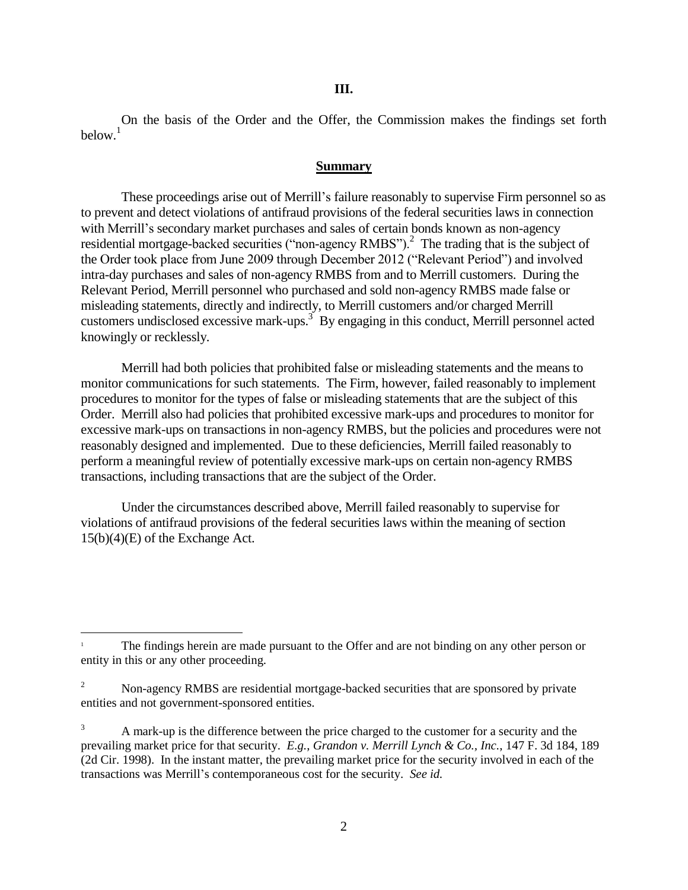On the basis of the Order and the Offer, the Commission makes the findings set forth below.<sup>1</sup>

#### **Summary**

These proceedings arise out of Merrill's failure reasonably to supervise Firm personnel so as to prevent and detect violations of antifraud provisions of the federal securities laws in connection with Merrill's secondary market purchases and sales of certain bonds known as non-agency residential mortgage-backed securities ("non-agency RMBS").<sup>2</sup> The trading that is the subject of the Order took place from June 2009 through December 2012 ("Relevant Period") and involved intra-day purchases and sales of non-agency RMBS from and to Merrill customers. During the Relevant Period, Merrill personnel who purchased and sold non-agency RMBS made false or misleading statements, directly and indirectly, to Merrill customers and/or charged Merrill customers undisclosed excessive mark-ups.<sup>3</sup> By engaging in this conduct, Merrill personnel acted knowingly or recklessly.

Merrill had both policies that prohibited false or misleading statements and the means to monitor communications for such statements. The Firm, however, failed reasonably to implement procedures to monitor for the types of false or misleading statements that are the subject of this Order. Merrill also had policies that prohibited excessive mark-ups and procedures to monitor for excessive mark-ups on transactions in non-agency RMBS, but the policies and procedures were not reasonably designed and implemented. Due to these deficiencies, Merrill failed reasonably to perform a meaningful review of potentially excessive mark-ups on certain non-agency RMBS transactions, including transactions that are the subject of the Order.

Under the circumstances described above, Merrill failed reasonably to supervise for violations of antifraud provisions of the federal securities laws within the meaning of section 15(b)(4)(E) of the Exchange Act.

l

<sup>1</sup> The findings herein are made pursuant to the Offer and are not binding on any other person or entity in this or any other proceeding.

<sup>&</sup>lt;sup>2</sup> Non-agency RMBS are residential mortgage-backed securities that are sponsored by private entities and not government-sponsored entities.

<sup>3</sup> A mark-up is the difference between the price charged to the customer for a security and the prevailing market price for that security. *E.g.*, *Grandon v. Merrill Lynch & Co., Inc.*, 147 F. 3d 184, 189 (2d Cir. 1998). In the instant matter, the prevailing market price for the security involved in each of the transactions was Merrill's contemporaneous cost for the security. *See id.*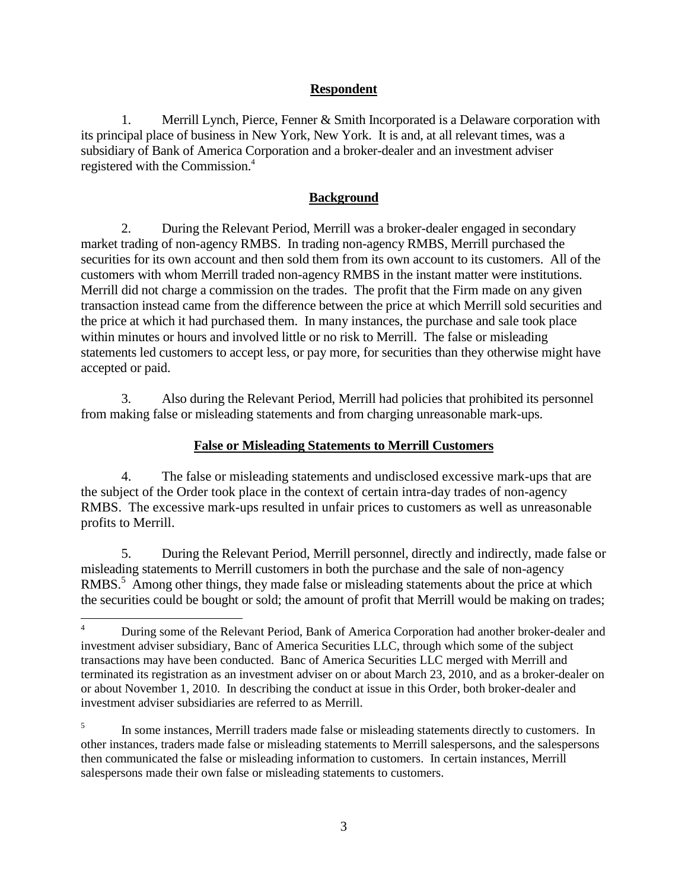## **Respondent**

1. Merrill Lynch, Pierce, Fenner & Smith Incorporated is a Delaware corporation with its principal place of business in New York, New York. It is and, at all relevant times, was a subsidiary of Bank of America Corporation and a broker-dealer and an investment adviser registered with the Commission.<sup>4</sup>

## **Background**

2. During the Relevant Period, Merrill was a broker-dealer engaged in secondary market trading of non-agency RMBS. In trading non-agency RMBS, Merrill purchased the securities for its own account and then sold them from its own account to its customers. All of the customers with whom Merrill traded non-agency RMBS in the instant matter were institutions. Merrill did not charge a commission on the trades. The profit that the Firm made on any given transaction instead came from the difference between the price at which Merrill sold securities and the price at which it had purchased them. In many instances, the purchase and sale took place within minutes or hours and involved little or no risk to Merrill. The false or misleading statements led customers to accept less, or pay more, for securities than they otherwise might have accepted or paid.

3. Also during the Relevant Period, Merrill had policies that prohibited its personnel from making false or misleading statements and from charging unreasonable mark-ups.

# **False or Misleading Statements to Merrill Customers**

4. The false or misleading statements and undisclosed excessive mark-ups that are the subject of the Order took place in the context of certain intra-day trades of non-agency RMBS. The excessive mark-ups resulted in unfair prices to customers as well as unreasonable profits to Merrill.

5. During the Relevant Period, Merrill personnel, directly and indirectly, made false or misleading statements to Merrill customers in both the purchase and the sale of non-agency RMBS.<sup>5</sup> Among other things, they made false or misleading statements about the price at which the securities could be bought or sold; the amount of profit that Merrill would be making on trades;

 $\overline{4}$ <sup>4</sup> During some of the Relevant Period, Bank of America Corporation had another broker-dealer and investment adviser subsidiary, Banc of America Securities LLC, through which some of the subject transactions may have been conducted. Banc of America Securities LLC merged with Merrill and terminated its registration as an investment adviser on or about March 23, 2010, and as a broker-dealer on or about November 1, 2010. In describing the conduct at issue in this Order, both broker-dealer and investment adviser subsidiaries are referred to as Merrill.

<sup>5</sup> In some instances, Merrill traders made false or misleading statements directly to customers. In other instances, traders made false or misleading statements to Merrill salespersons, and the salespersons then communicated the false or misleading information to customers. In certain instances, Merrill salespersons made their own false or misleading statements to customers.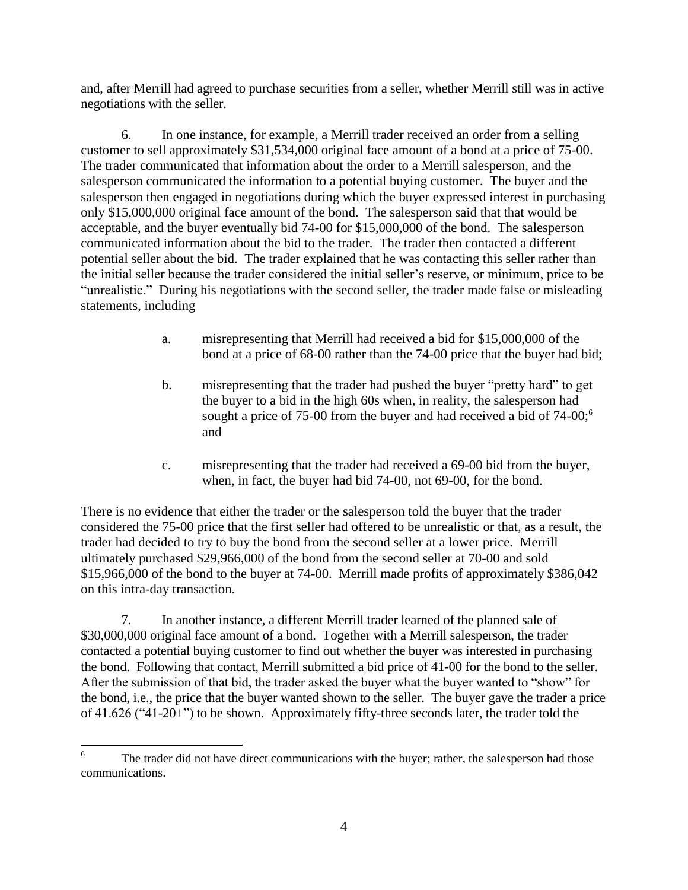and, after Merrill had agreed to purchase securities from a seller, whether Merrill still was in active negotiations with the seller.

6. In one instance, for example, a Merrill trader received an order from a selling customer to sell approximately \$31,534,000 original face amount of a bond at a price of 75-00. The trader communicated that information about the order to a Merrill salesperson, and the salesperson communicated the information to a potential buying customer. The buyer and the salesperson then engaged in negotiations during which the buyer expressed interest in purchasing only \$15,000,000 original face amount of the bond. The salesperson said that that would be acceptable, and the buyer eventually bid 74-00 for \$15,000,000 of the bond. The salesperson communicated information about the bid to the trader. The trader then contacted a different potential seller about the bid. The trader explained that he was contacting this seller rather than the initial seller because the trader considered the initial seller's reserve, or minimum, price to be "unrealistic." During his negotiations with the second seller, the trader made false or misleading statements, including

- a. misrepresenting that Merrill had received a bid for \$15,000,000 of the bond at a price of 68-00 rather than the 74-00 price that the buyer had bid;
- b. misrepresenting that the trader had pushed the buyer "pretty hard" to get the buyer to a bid in the high 60s when, in reality, the salesperson had sought a price of 75-00 from the buyer and had received a bid of  $74$ -00;<sup>6</sup> and
- c. misrepresenting that the trader had received a 69-00 bid from the buyer, when, in fact, the buyer had bid 74-00, not 69-00, for the bond.

There is no evidence that either the trader or the salesperson told the buyer that the trader considered the 75-00 price that the first seller had offered to be unrealistic or that, as a result, the trader had decided to try to buy the bond from the second seller at a lower price. Merrill ultimately purchased \$29,966,000 of the bond from the second seller at 70-00 and sold \$15,966,000 of the bond to the buyer at 74-00. Merrill made profits of approximately \$386,042 on this intra-day transaction.

7. In another instance, a different Merrill trader learned of the planned sale of \$30,000,000 original face amount of a bond. Together with a Merrill salesperson, the trader contacted a potential buying customer to find out whether the buyer was interested in purchasing the bond. Following that contact, Merrill submitted a bid price of 41-00 for the bond to the seller. After the submission of that bid, the trader asked the buyer what the buyer wanted to "show" for the bond, i.e., the price that the buyer wanted shown to the seller. The buyer gave the trader a price of 41.626 ("41-20+") to be shown. Approximately fifty-three seconds later, the trader told the

 $\overline{6}$ The trader did not have direct communications with the buyer; rather, the salesperson had those communications.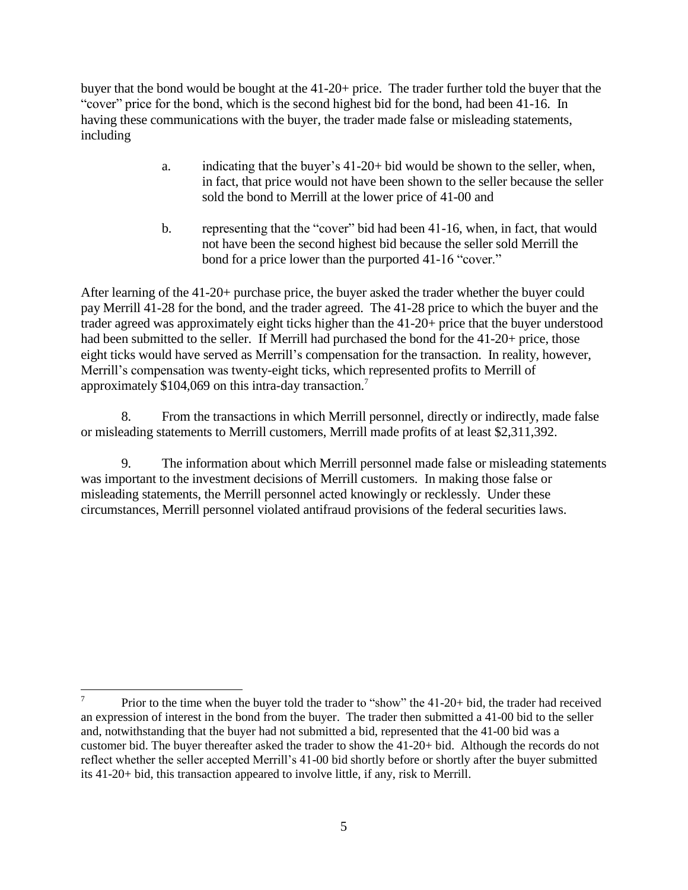buyer that the bond would be bought at the 41-20+ price. The trader further told the buyer that the "cover" price for the bond, which is the second highest bid for the bond, had been 41-16. In having these communications with the buyer, the trader made false or misleading statements, including

- a. indicating that the buyer's 41-20+ bid would be shown to the seller, when, in fact, that price would not have been shown to the seller because the seller sold the bond to Merrill at the lower price of 41-00 and
- b. representing that the "cover" bid had been 41-16, when, in fact, that would not have been the second highest bid because the seller sold Merrill the bond for a price lower than the purported 41-16 "cover."

After learning of the 41-20+ purchase price, the buyer asked the trader whether the buyer could pay Merrill 41-28 for the bond, and the trader agreed. The 41-28 price to which the buyer and the trader agreed was approximately eight ticks higher than the 41-20+ price that the buyer understood had been submitted to the seller. If Merrill had purchased the bond for the 41-20+ price, those eight ticks would have served as Merrill's compensation for the transaction. In reality, however, Merrill's compensation was twenty-eight ticks, which represented profits to Merrill of approximately \$104,069 on this intra-day transaction.<sup>7</sup>

8. From the transactions in which Merrill personnel, directly or indirectly, made false or misleading statements to Merrill customers, Merrill made profits of at least \$2,311,392.

9. The information about which Merrill personnel made false or misleading statements was important to the investment decisions of Merrill customers. In making those false or misleading statements, the Merrill personnel acted knowingly or recklessly. Under these circumstances, Merrill personnel violated antifraud provisions of the federal securities laws.

<sup>|&</sup>lt;br>7 Prior to the time when the buyer told the trader to "show" the 41-20+ bid, the trader had received an expression of interest in the bond from the buyer. The trader then submitted a 41-00 bid to the seller and, notwithstanding that the buyer had not submitted a bid, represented that the 41-00 bid was a customer bid. The buyer thereafter asked the trader to show the 41-20+ bid. Although the records do not reflect whether the seller accepted Merrill's 41-00 bid shortly before or shortly after the buyer submitted its 41-20+ bid, this transaction appeared to involve little, if any, risk to Merrill.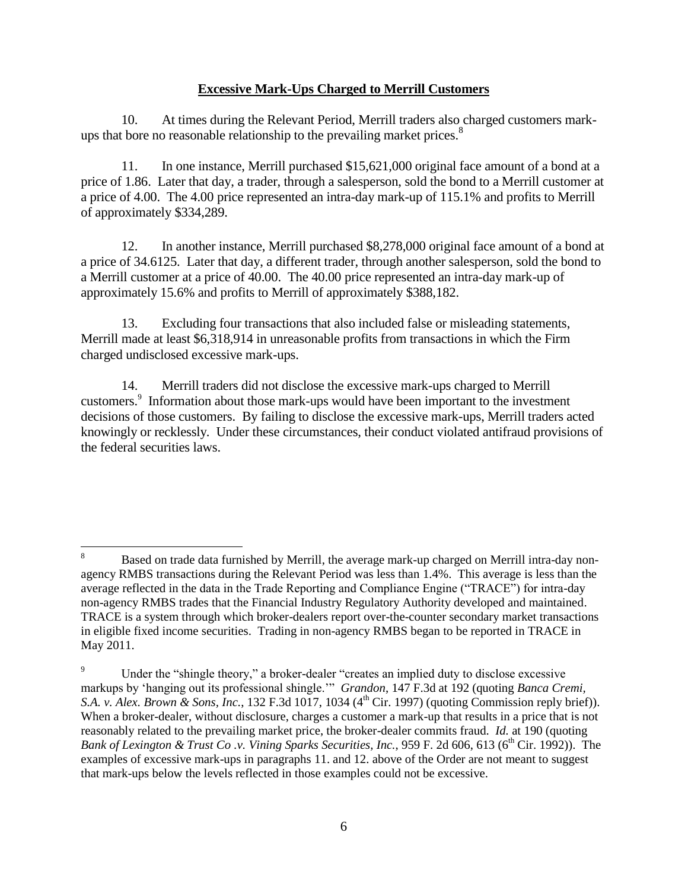#### **Excessive Mark-Ups Charged to Merrill Customers**

10. At times during the Relevant Period, Merrill traders also charged customers markups that bore no reasonable relationship to the prevailing market prices.<sup>8</sup>

11. In one instance, Merrill purchased \$15,621,000 original face amount of a bond at a price of 1.86. Later that day, a trader, through a salesperson, sold the bond to a Merrill customer at a price of 4.00. The 4.00 price represented an intra-day mark-up of 115.1% and profits to Merrill of approximately \$334,289.

12. In another instance, Merrill purchased \$8,278,000 original face amount of a bond at a price of 34.6125. Later that day, a different trader, through another salesperson, sold the bond to a Merrill customer at a price of 40.00. The 40.00 price represented an intra-day mark-up of approximately 15.6% and profits to Merrill of approximately \$388,182.

13. Excluding four transactions that also included false or misleading statements, Merrill made at least \$6,318,914 in unreasonable profits from transactions in which the Firm charged undisclosed excessive mark-ups.

14. Merrill traders did not disclose the excessive mark-ups charged to Merrill customers.<sup>9</sup> Information about those mark-ups would have been important to the investment decisions of those customers. By failing to disclose the excessive mark-ups, Merrill traders acted knowingly or recklessly. Under these circumstances, their conduct violated antifraud provisions of the federal securities laws.

 $\,8\,$ <sup>8</sup> Based on trade data furnished by Merrill, the average mark-up charged on Merrill intra-day nonagency RMBS transactions during the Relevant Period was less than 1.4%. This average is less than the average reflected in the data in the Trade Reporting and Compliance Engine ("TRACE") for intra-day non-agency RMBS trades that the Financial Industry Regulatory Authority developed and maintained. TRACE is a system through which broker-dealers report over-the-counter secondary market transactions in eligible fixed income securities. Trading in non-agency RMBS began to be reported in TRACE in May 2011.

<sup>&</sup>lt;sup>9</sup> Under the "shingle theory," a broker-dealer "creates an implied duty to disclose excessive markups by 'hanging out its professional shingle.'" *Grandon*, 147 F.3d at 192 (quoting *Banca Cremi, S.A. v. Alex. Brown & Sons, Inc.,* 132 F.3d 1017, 1034 (4<sup>th</sup> Cir. 1997) (quoting Commission reply brief)). When a broker-dealer, without disclosure, charges a customer a mark-up that results in a price that is not reasonably related to the prevailing market price, the broker-dealer commits fraud. *Id.* at 190 (quoting *Bank of Lexington & Trust Co.v. Vining Sparks Securities, Inc., 959 F. 2d 606, 613 (6<sup>th</sup> Cir. 1992)). The* examples of excessive mark-ups in paragraphs 11. and 12. above of the Order are not meant to suggest that mark-ups below the levels reflected in those examples could not be excessive.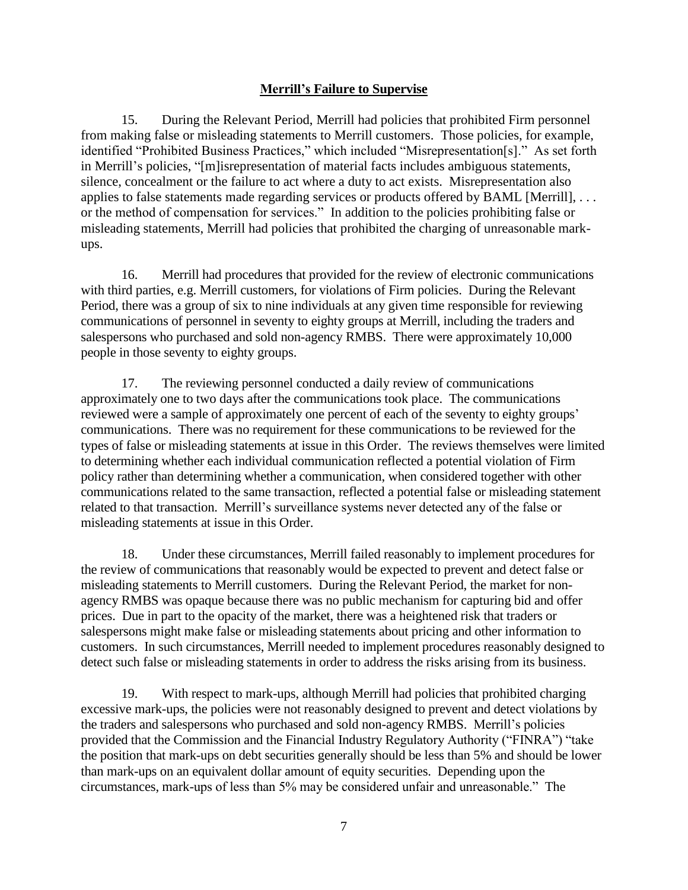## **Merrill's Failure to Supervise**

15. During the Relevant Period, Merrill had policies that prohibited Firm personnel from making false or misleading statements to Merrill customers. Those policies, for example, identified "Prohibited Business Practices," which included "Misrepresentation[s]." As set forth in Merrill's policies, "[m]isrepresentation of material facts includes ambiguous statements, silence, concealment or the failure to act where a duty to act exists. Misrepresentation also applies to false statements made regarding services or products offered by BAML [Merrill], . . . or the method of compensation for services." In addition to the policies prohibiting false or misleading statements, Merrill had policies that prohibited the charging of unreasonable markups.

16. Merrill had procedures that provided for the review of electronic communications with third parties, e.g. Merrill customers, for violations of Firm policies. During the Relevant Period, there was a group of six to nine individuals at any given time responsible for reviewing communications of personnel in seventy to eighty groups at Merrill, including the traders and salespersons who purchased and sold non-agency RMBS. There were approximately 10,000 people in those seventy to eighty groups.

17. The reviewing personnel conducted a daily review of communications approximately one to two days after the communications took place. The communications reviewed were a sample of approximately one percent of each of the seventy to eighty groups' communications. There was no requirement for these communications to be reviewed for the types of false or misleading statements at issue in this Order. The reviews themselves were limited to determining whether each individual communication reflected a potential violation of Firm policy rather than determining whether a communication, when considered together with other communications related to the same transaction, reflected a potential false or misleading statement related to that transaction. Merrill's surveillance systems never detected any of the false or misleading statements at issue in this Order.

18. Under these circumstances, Merrill failed reasonably to implement procedures for the review of communications that reasonably would be expected to prevent and detect false or misleading statements to Merrill customers. During the Relevant Period, the market for nonagency RMBS was opaque because there was no public mechanism for capturing bid and offer prices. Due in part to the opacity of the market, there was a heightened risk that traders or salespersons might make false or misleading statements about pricing and other information to customers. In such circumstances, Merrill needed to implement procedures reasonably designed to detect such false or misleading statements in order to address the risks arising from its business.

19. With respect to mark-ups, although Merrill had policies that prohibited charging excessive mark-ups, the policies were not reasonably designed to prevent and detect violations by the traders and salespersons who purchased and sold non-agency RMBS. Merrill's policies provided that the Commission and the Financial Industry Regulatory Authority ("FINRA") "take the position that mark-ups on debt securities generally should be less than 5% and should be lower than mark-ups on an equivalent dollar amount of equity securities. Depending upon the circumstances, mark-ups of less than 5% may be considered unfair and unreasonable." The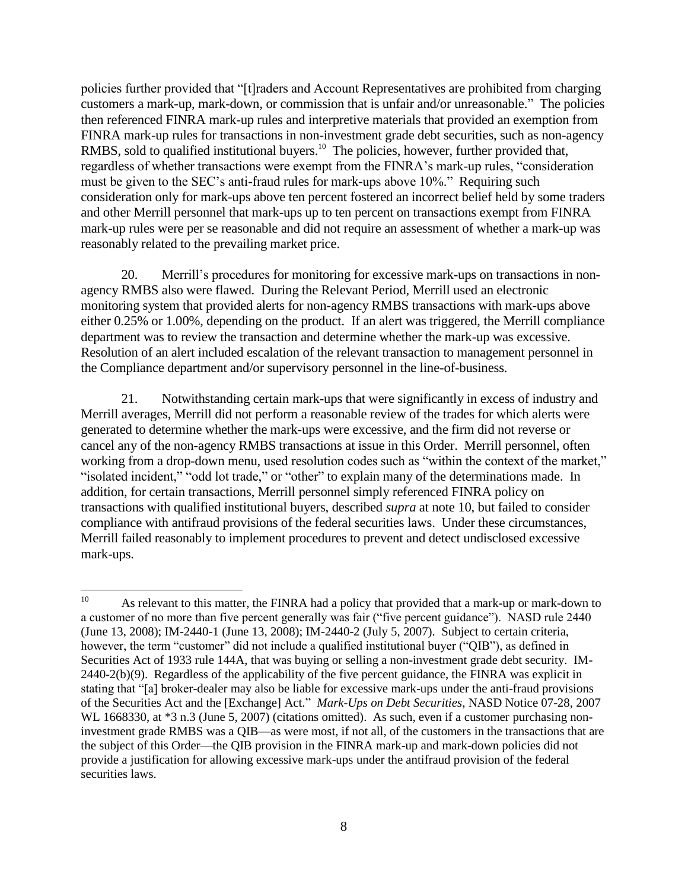policies further provided that "[t]raders and Account Representatives are prohibited from charging customers a mark-up, mark-down, or commission that is unfair and/or unreasonable." The policies then referenced FINRA mark-up rules and interpretive materials that provided an exemption from FINRA mark-up rules for transactions in non-investment grade debt securities, such as non-agency RMBS, sold to qualified institutional buyers.<sup>10</sup> The policies, however, further provided that, regardless of whether transactions were exempt from the FINRA's mark-up rules, "consideration must be given to the SEC's anti-fraud rules for mark-ups above 10%." Requiring such consideration only for mark-ups above ten percent fostered an incorrect belief held by some traders and other Merrill personnel that mark-ups up to ten percent on transactions exempt from FINRA mark-up rules were per se reasonable and did not require an assessment of whether a mark-up was reasonably related to the prevailing market price.

20. Merrill's procedures for monitoring for excessive mark-ups on transactions in nonagency RMBS also were flawed. During the Relevant Period, Merrill used an electronic monitoring system that provided alerts for non-agency RMBS transactions with mark-ups above either 0.25% or 1.00%, depending on the product. If an alert was triggered, the Merrill compliance department was to review the transaction and determine whether the mark-up was excessive. Resolution of an alert included escalation of the relevant transaction to management personnel in the Compliance department and/or supervisory personnel in the line-of-business.

21. Notwithstanding certain mark-ups that were significantly in excess of industry and Merrill averages, Merrill did not perform a reasonable review of the trades for which alerts were generated to determine whether the mark-ups were excessive, and the firm did not reverse or cancel any of the non-agency RMBS transactions at issue in this Order. Merrill personnel, often working from a drop-down menu, used resolution codes such as "within the context of the market," "isolated incident," "odd lot trade," or "other" to explain many of the determinations made. In addition, for certain transactions, Merrill personnel simply referenced FINRA policy on transactions with qualified institutional buyers, described *supra* at note 10, but failed to consider compliance with antifraud provisions of the federal securities laws. Under these circumstances, Merrill failed reasonably to implement procedures to prevent and detect undisclosed excessive mark-ups.

 $10\,$ As relevant to this matter, the FINRA had a policy that provided that a mark-up or mark-down to a customer of no more than five percent generally was fair ("five percent guidance"). NASD rule 2440 (June 13, 2008); IM-2440-1 (June 13, 2008); IM-2440-2 (July 5, 2007). Subject to certain criteria, however, the term "customer" did not include a qualified institutional buyer ("QIB"), as defined in Securities Act of 1933 rule 144A, that was buying or selling a non-investment grade debt security. IM-2440-2(b)(9). Regardless of the applicability of the five percent guidance, the FINRA was explicit in stating that "[a] broker-dealer may also be liable for excessive mark-ups under the anti-fraud provisions of the Securities Act and the [Exchange] Act." *Mark-Ups on Debt Securities*, NASD Notice 07-28, 2007 WL 1668330, at  $*3$  n.3 (June 5, 2007) (citations omitted). As such, even if a customer purchasing noninvestment grade RMBS was a QIB—as were most, if not all, of the customers in the transactions that are the subject of this Order—the QIB provision in the FINRA mark-up and mark-down policies did not provide a justification for allowing excessive mark-ups under the antifraud provision of the federal securities laws.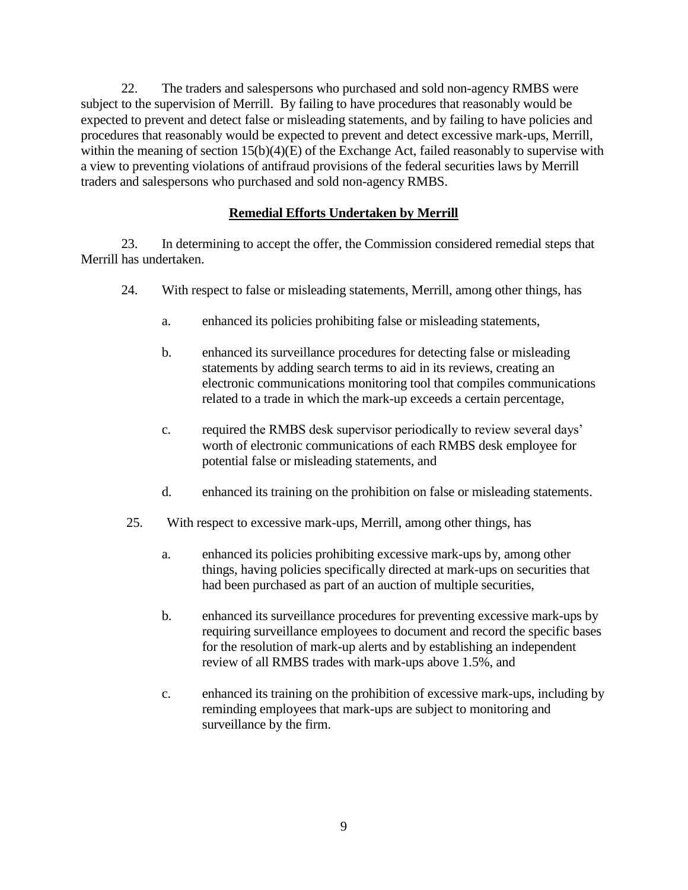22. The traders and salespersons who purchased and sold non-agency RMBS were subject to the supervision of Merrill. By failing to have procedures that reasonably would be expected to prevent and detect false or misleading statements, and by failing to have policies and procedures that reasonably would be expected to prevent and detect excessive mark-ups, Merrill, within the meaning of section 15(b)(4)(E) of the Exchange Act, failed reasonably to supervise with a view to preventing violations of antifraud provisions of the federal securities laws by Merrill traders and salespersons who purchased and sold non-agency RMBS.

# **Remedial Efforts Undertaken by Merrill**

23. In determining to accept the offer, the Commission considered remedial steps that Merrill has undertaken.

- 24. With respect to false or misleading statements, Merrill, among other things, has
	- a. enhanced its policies prohibiting false or misleading statements,
	- b. enhanced its surveillance procedures for detecting false or misleading statements by adding search terms to aid in its reviews, creating an electronic communications monitoring tool that compiles communications related to a trade in which the mark-up exceeds a certain percentage,
	- c. required the RMBS desk supervisor periodically to review several days' worth of electronic communications of each RMBS desk employee for potential false or misleading statements, and
	- d. enhanced its training on the prohibition on false or misleading statements.
- 25. With respect to excessive mark-ups, Merrill, among other things, has
	- a. enhanced its policies prohibiting excessive mark-ups by, among other things, having policies specifically directed at mark-ups on securities that had been purchased as part of an auction of multiple securities,
	- b. enhanced its surveillance procedures for preventing excessive mark-ups by requiring surveillance employees to document and record the specific bases for the resolution of mark-up alerts and by establishing an independent review of all RMBS trades with mark-ups above 1.5%, and
	- c. enhanced its training on the prohibition of excessive mark-ups, including by reminding employees that mark-ups are subject to monitoring and surveillance by the firm.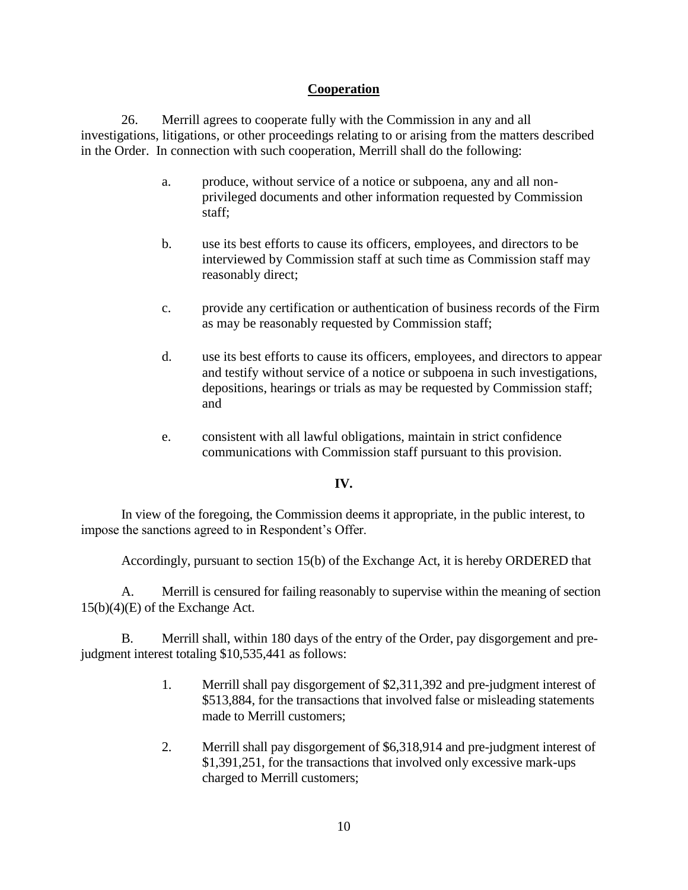## **Cooperation**

26. Merrill agrees to cooperate fully with the Commission in any and all investigations, litigations, or other proceedings relating to or arising from the matters described in the Order. In connection with such cooperation, Merrill shall do the following:

- a. produce, without service of a notice or subpoena, any and all nonprivileged documents and other information requested by Commission staff;
- b. use its best efforts to cause its officers, employees, and directors to be interviewed by Commission staff at such time as Commission staff may reasonably direct;
- c. provide any certification or authentication of business records of the Firm as may be reasonably requested by Commission staff;
- d. use its best efforts to cause its officers, employees, and directors to appear and testify without service of a notice or subpoena in such investigations, depositions, hearings or trials as may be requested by Commission staff; and
- e. consistent with all lawful obligations, maintain in strict confidence communications with Commission staff pursuant to this provision.

#### **IV.**

In view of the foregoing, the Commission deems it appropriate, in the public interest, to impose the sanctions agreed to in Respondent's Offer.

Accordingly, pursuant to section 15(b) of the Exchange Act, it is hereby ORDERED that

A. Merrill is censured for failing reasonably to supervise within the meaning of section 15(b)(4)(E) of the Exchange Act.

B. Merrill shall, within 180 days of the entry of the Order, pay disgorgement and prejudgment interest totaling \$10,535,441 as follows:

- 1. Merrill shall pay disgorgement of \$2,311,392 and pre-judgment interest of \$513,884, for the transactions that involved false or misleading statements made to Merrill customers;
- 2. Merrill shall pay disgorgement of \$6,318,914 and pre-judgment interest of \$1,391,251, for the transactions that involved only excessive mark-ups charged to Merrill customers;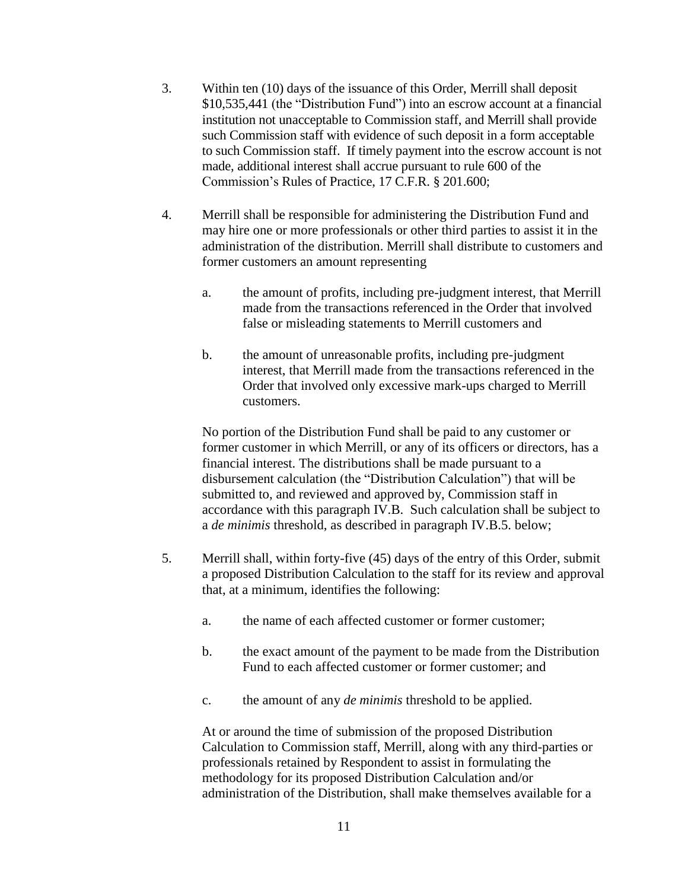- 3. Within ten (10) days of the issuance of this Order, Merrill shall deposit \$10,535,441 (the "Distribution Fund") into an escrow account at a financial institution not unacceptable to Commission staff, and Merrill shall provide such Commission staff with evidence of such deposit in a form acceptable to such Commission staff. If timely payment into the escrow account is not made, additional interest shall accrue pursuant to rule 600 of the Commission's Rules of Practice, 17 C.F.R. § 201.600;
- 4. Merrill shall be responsible for administering the Distribution Fund and may hire one or more professionals or other third parties to assist it in the administration of the distribution. Merrill shall distribute to customers and former customers an amount representing
	- a. the amount of profits, including pre-judgment interest, that Merrill made from the transactions referenced in the Order that involved false or misleading statements to Merrill customers and
	- b. the amount of unreasonable profits, including pre-judgment interest, that Merrill made from the transactions referenced in the Order that involved only excessive mark-ups charged to Merrill customers.

No portion of the Distribution Fund shall be paid to any customer or former customer in which Merrill, or any of its officers or directors, has a financial interest. The distributions shall be made pursuant to a disbursement calculation (the "Distribution Calculation") that will be submitted to, and reviewed and approved by, Commission staff in accordance with this paragraph IV.B. Such calculation shall be subject to a *de minimis* threshold, as described in paragraph IV.B.5. below;

- 5. Merrill shall, within forty-five (45) days of the entry of this Order, submit a proposed Distribution Calculation to the staff for its review and approval that, at a minimum, identifies the following:
	- a. the name of each affected customer or former customer;
	- b. the exact amount of the payment to be made from the Distribution Fund to each affected customer or former customer; and
	- c. the amount of any *de minimis* threshold to be applied.

At or around the time of submission of the proposed Distribution Calculation to Commission staff, Merrill, along with any third-parties or professionals retained by Respondent to assist in formulating the methodology for its proposed Distribution Calculation and/or administration of the Distribution, shall make themselves available for a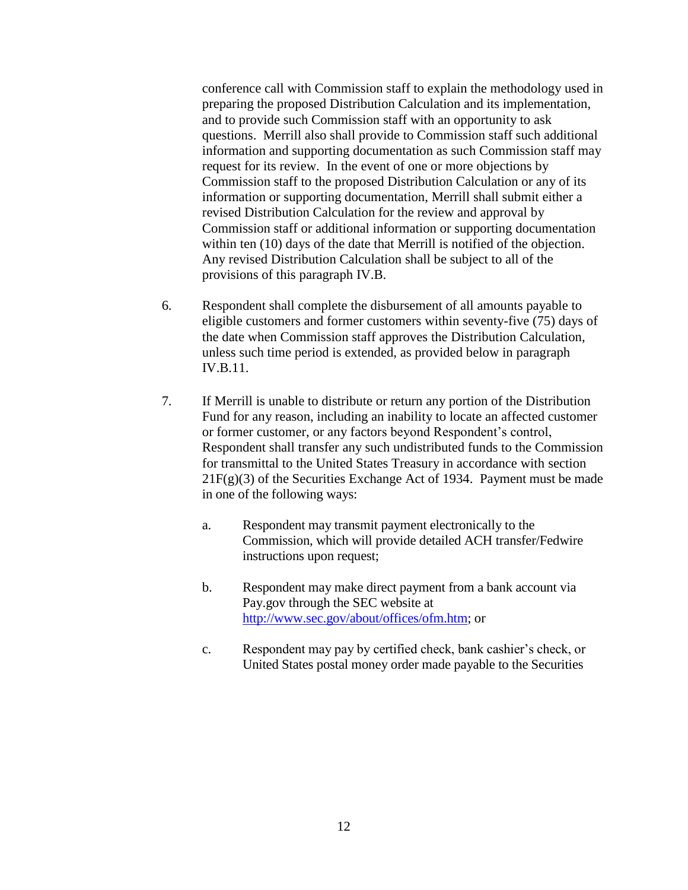conference call with Commission staff to explain the methodology used in preparing the proposed Distribution Calculation and its implementation, and to provide such Commission staff with an opportunity to ask questions. Merrill also shall provide to Commission staff such additional information and supporting documentation as such Commission staff may request for its review. In the event of one or more objections by Commission staff to the proposed Distribution Calculation or any of its information or supporting documentation, Merrill shall submit either a revised Distribution Calculation for the review and approval by Commission staff or additional information or supporting documentation within ten (10) days of the date that Merrill is notified of the objection. Any revised Distribution Calculation shall be subject to all of the provisions of this paragraph IV.B.

- 6. Respondent shall complete the disbursement of all amounts payable to eligible customers and former customers within seventy-five (75) days of the date when Commission staff approves the Distribution Calculation, unless such time period is extended, as provided below in paragraph IV.B.11.
- 7. If Merrill is unable to distribute or return any portion of the Distribution Fund for any reason, including an inability to locate an affected customer or former customer, or any factors beyond Respondent's control, Respondent shall transfer any such undistributed funds to the Commission for transmittal to the United States Treasury in accordance with section  $21F(g)(3)$  of the Securities Exchange Act of 1934. Payment must be made in one of the following ways:
	- a. Respondent may transmit payment electronically to the Commission, which will provide detailed ACH transfer/Fedwire instructions upon request;
	- b. Respondent may make direct payment from a bank account via Pay.gov through the SEC website at [http://www.sec.gov/about/offices/ofm.htm;](http://www.sec.gov/about/offices/ofm.htm) or
	- c. Respondent may pay by certified check, bank cashier's check, or United States postal money order made payable to the Securities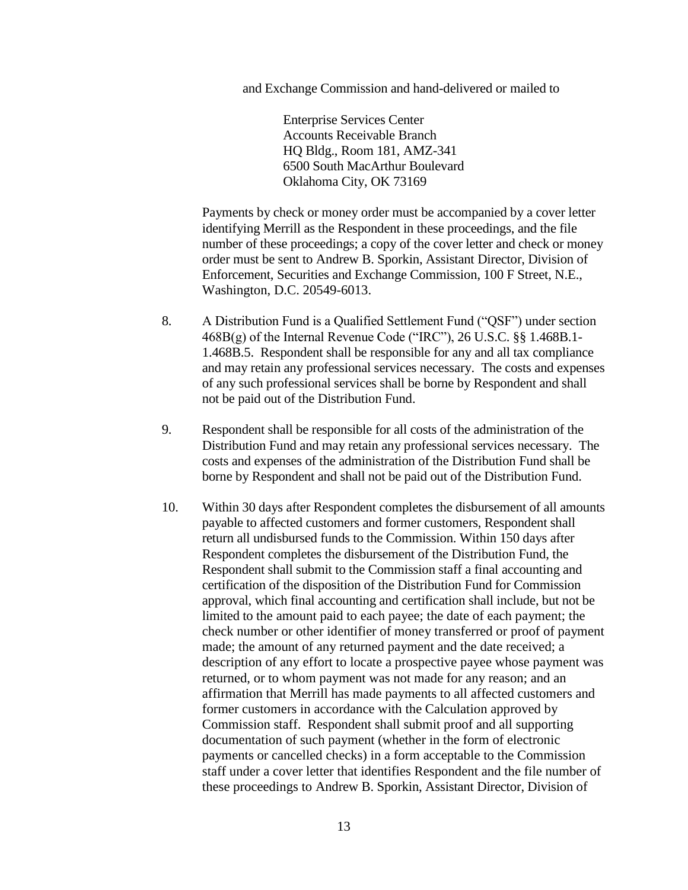and Exchange Commission and hand-delivered or mailed to

Enterprise Services Center Accounts Receivable Branch HQ Bldg., Room 181, AMZ-341 6500 South MacArthur Boulevard Oklahoma City, OK 73169

Payments by check or money order must be accompanied by a cover letter identifying Merrill as the Respondent in these proceedings, and the file number of these proceedings; a copy of the cover letter and check or money order must be sent to Andrew B. Sporkin, Assistant Director, Division of Enforcement, Securities and Exchange Commission, 100 F Street, N.E., Washington, D.C. 20549-6013.

- 8. A Distribution Fund is a Qualified Settlement Fund ("QSF") under section 468B(g) of the Internal Revenue Code ("IRC"), 26 U.S.C. §§ 1.468B.1- 1.468B.5. Respondent shall be responsible for any and all tax compliance and may retain any professional services necessary. The costs and expenses of any such professional services shall be borne by Respondent and shall not be paid out of the Distribution Fund.
- 9. Respondent shall be responsible for all costs of the administration of the Distribution Fund and may retain any professional services necessary. The costs and expenses of the administration of the Distribution Fund shall be borne by Respondent and shall not be paid out of the Distribution Fund.
- 10. Within 30 days after Respondent completes the disbursement of all amounts payable to affected customers and former customers, Respondent shall return all undisbursed funds to the Commission. Within 150 days after Respondent completes the disbursement of the Distribution Fund, the Respondent shall submit to the Commission staff a final accounting and certification of the disposition of the Distribution Fund for Commission approval, which final accounting and certification shall include, but not be limited to the amount paid to each payee; the date of each payment; the check number or other identifier of money transferred or proof of payment made; the amount of any returned payment and the date received; a description of any effort to locate a prospective payee whose payment was returned, or to whom payment was not made for any reason; and an affirmation that Merrill has made payments to all affected customers and former customers in accordance with the Calculation approved by Commission staff. Respondent shall submit proof and all supporting documentation of such payment (whether in the form of electronic payments or cancelled checks) in a form acceptable to the Commission staff under a cover letter that identifies Respondent and the file number of these proceedings to Andrew B. Sporkin, Assistant Director, Division of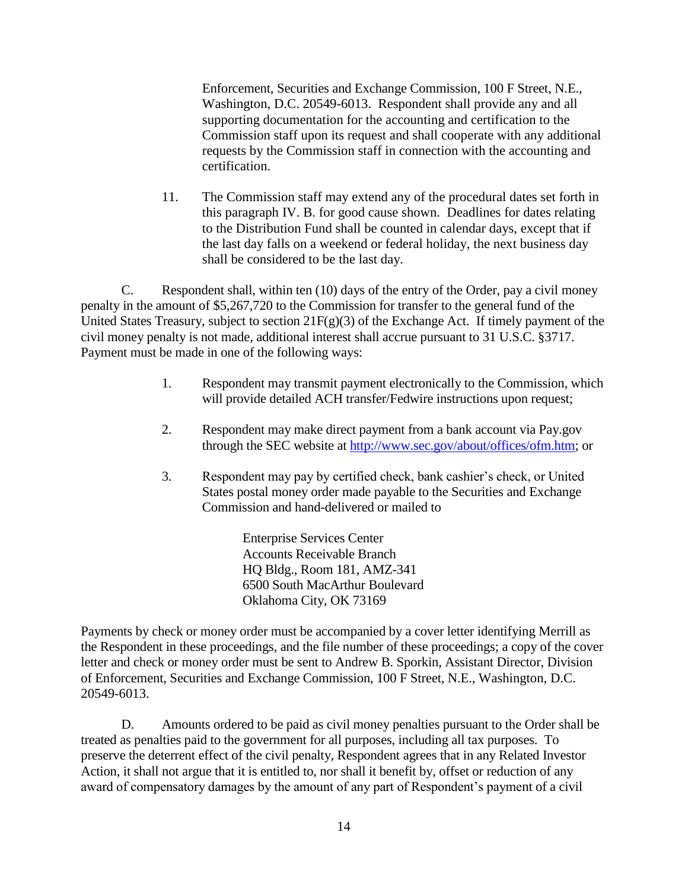Enforcement, Securities and Exchange Commission, 100 F Street, N.E., Washington, D.C. 20549-6013. Respondent shall provide any and all supporting documentation for the accounting and certification to the Commission staff upon its request and shall cooperate with any additional requests by the Commission staff in connection with the accounting and certification.

11. The Commission staff may extend any of the procedural dates set forth in this paragraph IV. B. for good cause shown. Deadlines for dates relating to the Distribution Fund shall be counted in calendar days, except that if the last day falls on a weekend or federal holiday, the next business day shall be considered to be the last day.

C. Respondent shall, within ten (10) days of the entry of the Order, pay a civil money penalty in the amount of \$5,267,720 to the Commission for transfer to the general fund of the United States Treasury, subject to section  $21F(g)(3)$  of the Exchange Act. If timely payment of the civil money penalty is not made, additional interest shall accrue pursuant to 31 U.S.C. §3717. Payment must be made in one of the following ways:

- 1. Respondent may transmit payment electronically to the Commission, which will provide detailed ACH transfer/Fedwire instructions upon request;
- 2. Respondent may make direct payment from a bank account via Pay.gov through the SEC website at [http://www.sec.gov/about/offices/ofm.htm;](http://www.sec.gov/about/offices/ofm.htm) or
- 3. Respondent may pay by certified check, bank cashier's check, or United States postal money order made payable to the Securities and Exchange Commission and hand-delivered or mailed to

Enterprise Services Center Accounts Receivable Branch HQ Bldg., Room 181, AMZ-341 6500 South MacArthur Boulevard Oklahoma City, OK 73169

Payments by check or money order must be accompanied by a cover letter identifying Merrill as the Respondent in these proceedings, and the file number of these proceedings; a copy of the cover letter and check or money order must be sent to Andrew B. Sporkin, Assistant Director, Division of Enforcement, Securities and Exchange Commission, 100 F Street, N.E., Washington, D.C. 20549-6013.

D. Amounts ordered to be paid as civil money penalties pursuant to the Order shall be treated as penalties paid to the government for all purposes, including all tax purposes. To preserve the deterrent effect of the civil penalty, Respondent agrees that in any Related Investor Action, it shall not argue that it is entitled to, nor shall it benefit by, offset or reduction of any award of compensatory damages by the amount of any part of Respondent's payment of a civil